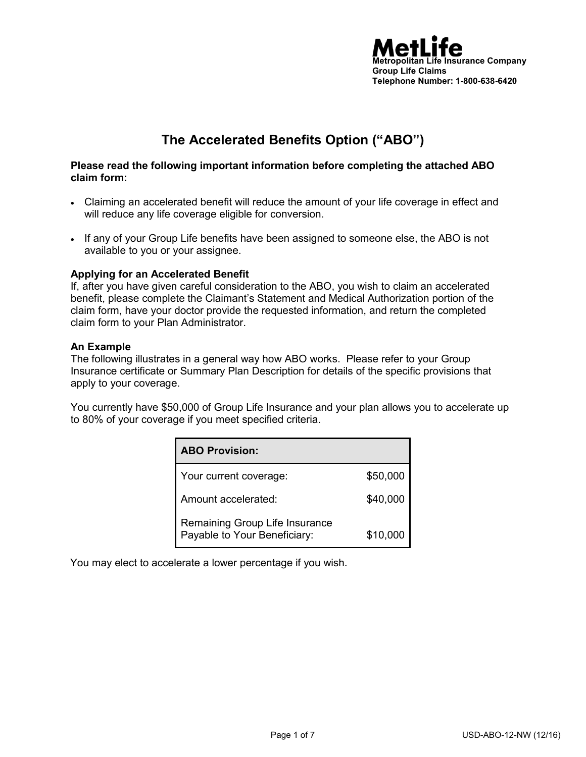

# **The Accelerated Benefits Option ("ABO")**

#### **Please read the following important information before completing the attached ABO claim form:**

- Claiming an accelerated benefit will reduce the amount of your life coverage in effect and will reduce any life coverage eligible for conversion.
- If any of your Group Life benefits have been assigned to someone else, the ABO is not available to you or your assignee.

#### **Applying for an Accelerated Benefit**

If, after you have given careful consideration to the ABO, you wish to claim an accelerated benefit, please complete the Claimant's Statement and Medical Authorization portion of the claim form, have your doctor provide the requested information, and return the completed claim form to your Plan Administrator.

#### **An Example**

The following illustrates in a general way how ABO works. Please refer to your Group Insurance certificate or Summary Plan Description for details of the specific provisions that apply to your coverage.

You currently have \$50,000 of Group Life Insurance and your plan allows you to accelerate up to 80% of your coverage if you meet specified criteria.

| <b>ABO Provision:</b>                                          |          |
|----------------------------------------------------------------|----------|
| Your current coverage:                                         | \$50,000 |
| Amount accelerated:                                            | \$40,000 |
| Remaining Group Life Insurance<br>Payable to Your Beneficiary: | \$10,000 |

You may elect to accelerate a lower percentage if you wish.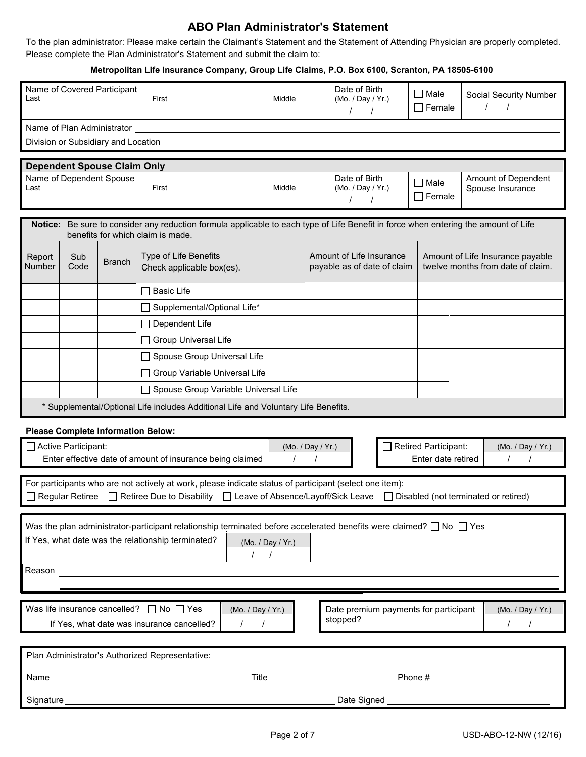## **ABO Plan Administrator's Statement**

To the plan administrator: Please make certain the Claimant's Statement and the Statement of Attending Physician are properly completed. Please complete the Plan Administrator's Statement and submit the claim to:

#### **Metropolitan Life Insurance Company, Group Life Claims, P.O. Box 6100, Scranton, PA 18505-6100**

| Last                                                                    | Name of Covered Participant                                                                                                                                                                                                                       |               | First                                                                                                                                                            | Middle                 |                   | Date of Birth<br>(Mo. / Day / Yr.)                      | $\Box$ Male<br>$\Box$ Female | Social Security Number<br>$\prime$<br>$\prime$                        |
|-------------------------------------------------------------------------|---------------------------------------------------------------------------------------------------------------------------------------------------------------------------------------------------------------------------------------------------|---------------|------------------------------------------------------------------------------------------------------------------------------------------------------------------|------------------------|-------------------|---------------------------------------------------------|------------------------------|-----------------------------------------------------------------------|
|                                                                         |                                                                                                                                                                                                                                                   |               |                                                                                                                                                                  |                        |                   | $\prime$                                                |                              |                                                                       |
|                                                                         | Name of Plan Administrator _                                                                                                                                                                                                                      |               |                                                                                                                                                                  |                        |                   |                                                         |                              |                                                                       |
|                                                                         | Division or Subsidiary and Location                                                                                                                                                                                                               |               |                                                                                                                                                                  |                        |                   |                                                         |                              |                                                                       |
|                                                                         | <b>Dependent Spouse Claim Only</b>                                                                                                                                                                                                                |               |                                                                                                                                                                  |                        |                   |                                                         |                              |                                                                       |
|                                                                         | Name of Dependent Spouse                                                                                                                                                                                                                          |               |                                                                                                                                                                  |                        |                   | Date of Birth                                           | $\Box$ Male                  | Amount of Dependent                                                   |
| Last                                                                    | (Mo. / Day / Yr.)<br>First<br>Middle<br>Spouse Insurance<br>$\Box$ Female<br>$\prime$<br>$\prime$                                                                                                                                                 |               |                                                                                                                                                                  |                        |                   |                                                         |                              |                                                                       |
|                                                                         |                                                                                                                                                                                                                                                   |               |                                                                                                                                                                  |                        |                   |                                                         |                              |                                                                       |
| Notice:                                                                 |                                                                                                                                                                                                                                                   |               | Be sure to consider any reduction formula applicable to each type of Life Benefit in force when entering the amount of Life<br>benefits for which claim is made. |                        |                   |                                                         |                              |                                                                       |
|                                                                         |                                                                                                                                                                                                                                                   |               |                                                                                                                                                                  |                        |                   |                                                         |                              |                                                                       |
| Report<br>Number                                                        | Sub<br>Code                                                                                                                                                                                                                                       | <b>Branch</b> | Type of Life Benefits<br>Check applicable box(es).                                                                                                               |                        |                   | Amount of Life Insurance<br>payable as of date of claim |                              | Amount of Life Insurance payable<br>twelve months from date of claim. |
|                                                                         |                                                                                                                                                                                                                                                   |               | <b>Basic Life</b><br>$\mathsf{L}$                                                                                                                                |                        |                   |                                                         |                              |                                                                       |
|                                                                         |                                                                                                                                                                                                                                                   |               | □ Supplemental/Optional Life*                                                                                                                                    |                        |                   |                                                         |                              |                                                                       |
|                                                                         |                                                                                                                                                                                                                                                   |               | □ Dependent Life                                                                                                                                                 |                        |                   |                                                         |                              |                                                                       |
|                                                                         |                                                                                                                                                                                                                                                   |               | Group Universal Life                                                                                                                                             |                        |                   |                                                         |                              |                                                                       |
|                                                                         |                                                                                                                                                                                                                                                   |               | Spouse Group Universal Life                                                                                                                                      |                        |                   |                                                         |                              |                                                                       |
|                                                                         |                                                                                                                                                                                                                                                   |               | □ Group Variable Universal Life                                                                                                                                  |                        |                   |                                                         |                              |                                                                       |
|                                                                         |                                                                                                                                                                                                                                                   |               | □ Spouse Group Variable Universal Life                                                                                                                           |                        |                   |                                                         |                              |                                                                       |
|                                                                         |                                                                                                                                                                                                                                                   |               | * Supplemental/Optional Life includes Additional Life and Voluntary Life Benefits.                                                                               |                        |                   |                                                         |                              |                                                                       |
|                                                                         | <b>Please Complete Information Below:</b>                                                                                                                                                                                                         |               |                                                                                                                                                                  |                        |                   |                                                         |                              |                                                                       |
|                                                                         | Active Participant:                                                                                                                                                                                                                               |               |                                                                                                                                                                  |                        | (Mo. / Day / Yr.) |                                                         | Retired Participant:         | (Mo. / Day / Yr.)                                                     |
|                                                                         |                                                                                                                                                                                                                                                   |               | Enter effective date of amount of insurance being claimed                                                                                                        |                        |                   |                                                         | Enter date retired           |                                                                       |
|                                                                         |                                                                                                                                                                                                                                                   |               |                                                                                                                                                                  |                        |                   |                                                         |                              |                                                                       |
|                                                                         | For participants who are not actively at work, please indicate status of participant (select one item):<br>Regular Retiree $\Box$ Retiree Due to Disability $\Box$ Leave of Absence/Layoff/Sick Leave $\Box$ Disabled (not terminated or retired) |               |                                                                                                                                                                  |                        |                   |                                                         |                              |                                                                       |
|                                                                         |                                                                                                                                                                                                                                                   |               |                                                                                                                                                                  |                        |                   |                                                         |                              |                                                                       |
|                                                                         |                                                                                                                                                                                                                                                   |               | Was the plan administrator-participant relationship terminated before accelerated benefits were claimed? $\Box$ No $\Box$ Yes                                    |                        |                   |                                                         |                              |                                                                       |
| If Yes, what date was the relationship terminated?<br>(Mo. / Day / Yr.) |                                                                                                                                                                                                                                                   |               |                                                                                                                                                                  |                        |                   |                                                         |                              |                                                                       |
| $\sqrt{2}$                                                              |                                                                                                                                                                                                                                                   |               |                                                                                                                                                                  |                        |                   |                                                         |                              |                                                                       |
| Reason                                                                  |                                                                                                                                                                                                                                                   |               |                                                                                                                                                                  |                        |                   |                                                         |                              |                                                                       |
|                                                                         |                                                                                                                                                                                                                                                   |               |                                                                                                                                                                  |                        |                   |                                                         |                              |                                                                       |
|                                                                         |                                                                                                                                                                                                                                                   |               | Was life insurance cancelled? $\Box$ No $\Box$ Yes                                                                                                               | (Mo. / Day / Yr.)      |                   | Date premium payments for participant                   |                              | (Mo. / Day / Yr.)                                                     |
|                                                                         |                                                                                                                                                                                                                                                   |               | If Yes, what date was insurance cancelled?                                                                                                                       | $\prime$<br>$\sqrt{ }$ |                   | stopped?                                                |                              | $\sqrt{2}$                                                            |
|                                                                         |                                                                                                                                                                                                                                                   |               |                                                                                                                                                                  |                        |                   |                                                         |                              |                                                                       |
| Plan Administrator's Authorized Representative:                         |                                                                                                                                                                                                                                                   |               |                                                                                                                                                                  |                        |                   |                                                         |                              |                                                                       |
|                                                                         |                                                                                                                                                                                                                                                   |               |                                                                                                                                                                  |                        |                   |                                                         |                              |                                                                       |
|                                                                         |                                                                                                                                                                                                                                                   |               |                                                                                                                                                                  |                        |                   |                                                         |                              |                                                                       |
| Signature_                                                              |                                                                                                                                                                                                                                                   |               | <u> 1980 - Johann Barnett, fransk politik (d. 1980)</u>                                                                                                          |                        |                   | Date Signed <b>National State Signed</b>                |                              |                                                                       |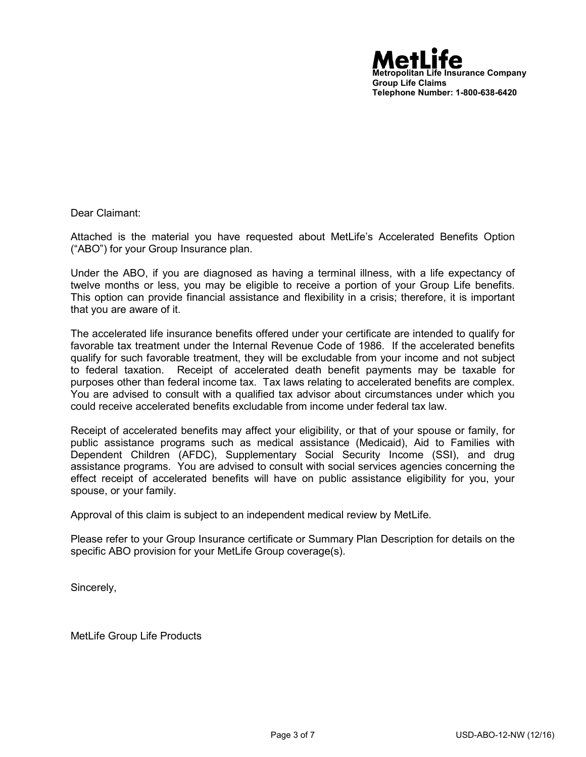

Dear Claimant:

Attached is the material you have requested about MetLife's Accelerated Benefits Option ("ABO") for your Group Insurance plan.

Under the ABO, if you are diagnosed as having a terminal illness, with a life expectancy of twelve months or less, you may be eligible to receive a portion of your Group Life benefits. This option can provide financial assistance and flexibility in a crisis; therefore, it is important that you are aware of it.

The accelerated life insurance benefits offered under your certificate are intended to qualify for favorable tax treatment under the Internal Revenue Code of 1986. If the accelerated benefits qualify for such favorable treatment, they will be excludable from your income and not subject to federal taxation. Receipt of accelerated death benefit payments may be taxable for purposes other than federal income tax. Tax laws relating to accelerated benefits are complex. You are advised to consult with a qualified tax advisor about circumstances under which you could receive accelerated benefits excludable from income under federal tax law.

Receipt of accelerated benefits may affect your eligibility, or that of your spouse or family, for public assistance programs such as medical assistance (Medicaid), Aid to Families with Dependent Children (AFDC), Supplementary Social Security Income (SSI), and drug assistance programs. You are advised to consult with social services agencies concerning the effect receipt of accelerated benefits will have on public assistance eligibility for you, your spouse, or your family.

Approval of this claim is subject to an independent medical review by MetLife.

Please refer to your Group Insurance certificate or Summary Plan Description for details on the specific ABO provision for your MetLife Group coverage(s).

Sincerely,

MetLife Group Life Products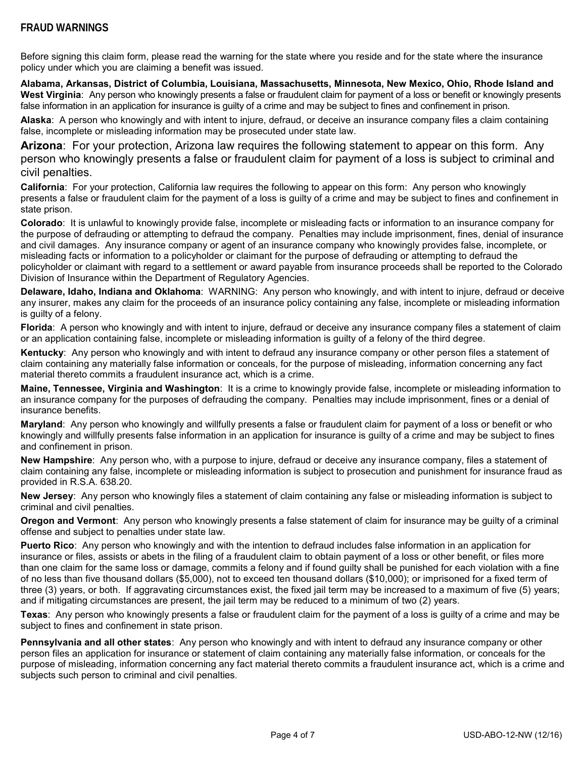#### **FRAUD WARNINGS**

Before signing this claim form, please read the warning for the state where you reside and for the state where the insurance policy under which you are claiming a benefit was issued.

**Alabama, Arkansas, District of Columbia, Louisiana, Massachusetts, Minnesota, New Mexico, Ohio, Rhode Island and West Virginia**: Any person who knowingly presents a false or fraudulent claim for payment of a loss or benefit or knowingly presents false information in an application for insurance is guilty of a crime and may be subject to fines and confinement in prison.

**Alaska**: A person who knowingly and with intent to injure, defraud, or deceive an insurance company files a claim containing false, incomplete or misleading information may be prosecuted under state law.

**Arizona**: For your protection, Arizona law requires the following statement to appear on this form. Any person who knowingly presents a false or fraudulent claim for payment of a loss is subject to criminal and civil penalties.

**California**: For your protection, California law requires the following to appear on this form: Any person who knowingly presents a false or fraudulent claim for the payment of a loss is guilty of a crime and may be subject to fines and confinement in state prison.

**Colorado**: It is unlawful to knowingly provide false, incomplete or misleading facts or information to an insurance company for the purpose of defrauding or attempting to defraud the company. Penalties may include imprisonment, fines, denial of insurance and civil damages. Any insurance company or agent of an insurance company who knowingly provides false, incomplete, or misleading facts or information to a policyholder or claimant for the purpose of defrauding or attempting to defraud the policyholder or claimant with regard to a settlement or award payable from insurance proceeds shall be reported to the Colorado Division of Insurance within the Department of Regulatory Agencies.

**Delaware, Idaho, Indiana and Oklahoma**: WARNING: Any person who knowingly, and with intent to injure, defraud or deceive any insurer, makes any claim for the proceeds of an insurance policy containing any false, incomplete or misleading information is guilty of a felony.

**Florida**: A person who knowingly and with intent to injure, defraud or deceive any insurance company files a statement of claim or an application containing false, incomplete or misleading information is guilty of a felony of the third degree.

**Kentucky**: Any person who knowingly and with intent to defraud any insurance company or other person files a statement of claim containing any materially false information or conceals, for the purpose of misleading, information concerning any fact material thereto commits a fraudulent insurance act, which is a crime.

**Maine, Tennessee, Virginia and Washington**: It is a crime to knowingly provide false, incomplete or misleading information to an insurance company for the purposes of defrauding the company. Penalties may include imprisonment, fines or a denial of insurance benefits.

**Maryland**: Any person who knowingly and willfully presents a false or fraudulent claim for payment of a loss or benefit or who knowingly and willfully presents false information in an application for insurance is guilty of a crime and may be subject to fines and confinement in prison.

**New Hampshire**: Any person who, with a purpose to injure, defraud or deceive any insurance company, files a statement of claim containing any false, incomplete or misleading information is subject to prosecution and punishment for insurance fraud as provided in R.S.A. 638.20.

**New Jersey**: Any person who knowingly files a statement of claim containing any false or misleading information is subject to criminal and civil penalties.

**Oregon and Vermont**: Any person who knowingly presents a false statement of claim for insurance may be guilty of a criminal offense and subject to penalties under state law.

**Puerto Rico**: Any person who knowingly and with the intention to defraud includes false information in an application for insurance or files, assists or abets in the filing of a fraudulent claim to obtain payment of a loss or other benefit, or files more than one claim for the same loss or damage, commits a felony and if found guilty shall be punished for each violation with a fine of no less than five thousand dollars (\$5,000), not to exceed ten thousand dollars (\$10,000); or imprisoned for a fixed term of three (3) years, or both. If aggravating circumstances exist, the fixed jail term may be increased to a maximum of five (5) years; and if mitigating circumstances are present, the jail term may be reduced to a minimum of two (2) years.

**Texas**: Any person who knowingly presents a false or fraudulent claim for the payment of a loss is guilty of a crime and may be subject to fines and confinement in state prison.

**Pennsylvania and all other states**:Any person who knowingly and with intent to defraud any insurance company or other person files an application for insurance or statement of claim containing any materially false information, or conceals for the purpose of misleading, information concerning any fact material thereto commits a fraudulent insurance act, which is a crime and subjects such person to criminal and civil penalties.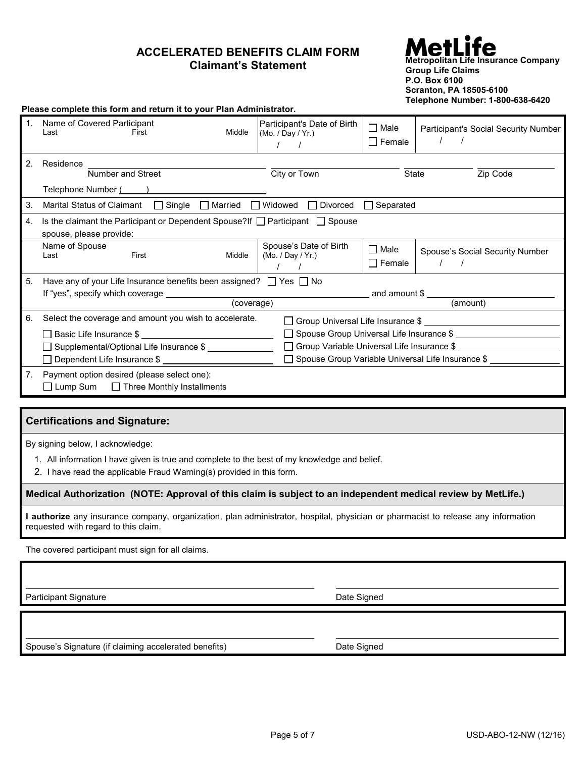## **ACCELERATED BENEFITS CLAIM FORM Claimant's Statement**

### **Metropolitan Life Insurance Company Group Life Claims P.O. Box 6100 Scranton, PA 18505-6100 Telephone Number: 1-800-638-6420**

|                | Please complete this form and return it to your Plan Administrator.                                       |                                                  |                                 |                                      |  |  |
|----------------|-----------------------------------------------------------------------------------------------------------|--------------------------------------------------|---------------------------------|--------------------------------------|--|--|
| 1 <sup>1</sup> | Name of Covered Participant<br>Middle<br>First<br>Last                                                    | Participant's Date of Birth<br>(Mo. / Dav / Yr.) | $\square$ Male<br>$\Box$ Female | Participant's Social Security Number |  |  |
| 2.             | Residence                                                                                                 |                                                  |                                 |                                      |  |  |
|                | Number and Street                                                                                         | City or Town                                     | State                           | Zip Code                             |  |  |
|                | Telephone Number ( )                                                                                      |                                                  |                                 |                                      |  |  |
| 3.             |                                                                                                           |                                                  |                                 |                                      |  |  |
| 4.             | Is the claimant the Participant or Dependent Spouse? If $\Box$ Participant $\Box$ Spouse                  |                                                  |                                 |                                      |  |  |
|                | spouse, please provide:                                                                                   |                                                  |                                 |                                      |  |  |
|                | Name of Spouse                                                                                            | Spouse's Date of Birth                           | $\Box$ Male                     | Spouse's Social Security Number      |  |  |
|                | First<br>Middle<br>Last                                                                                   | (Mo. / Day / Yr.)                                | $\Box$ Female                   |                                      |  |  |
| 5.             | Have any of your Life Insurance benefits been assigned? $\Box$ Yes $\Box$ No                              |                                                  |                                 |                                      |  |  |
|                |                                                                                                           |                                                  |                                 |                                      |  |  |
|                | (coverage)                                                                                                |                                                  | (amount)                        |                                      |  |  |
| 6.             | Select the coverage and amount you wish to accelerate.                                                    |                                                  |                                 |                                      |  |  |
|                | □ Spouse Group Universal Life Insurance \$                                                                |                                                  |                                 |                                      |  |  |
|                | □ Group Variable Universal Life Insurance \$<br>□ Supplemental/Optional Life Insurance \$ _______________ |                                                  |                                 |                                      |  |  |
|                | □ Spouse Group Variable Universal Life Insurance \$                                                       |                                                  |                                 |                                      |  |  |
| 7.             | Payment option desired (please select one):<br>$\Box$ Lump Sum $\Box$ Three Monthly Installments          |                                                  |                                 |                                      |  |  |
|                |                                                                                                           |                                                  |                                 |                                      |  |  |
|                |                                                                                                           |                                                  |                                 |                                      |  |  |

#### **Certifications and Signature:**

By signing below, I acknowledge:

- 1. All information I have given is true and complete to the best of my knowledge and belief.
- 2. I have read the applicable Fraud Warning(s) provided in this form.

**Medical Authorization (NOTE: Approval of this claim is subject to an independent medical review by MetLife.)**

**I authorize** any insurance company, organization, plan administrator, hospital, physician or pharmacist to release any information requested with regard to this claim.

The covered participant must sign for all claims.

Participant Signature **Date Signature Signature** Date Signed **Date Signature Date Signature** 

Spouse's Signature (if claiming accelerated benefits) Date Signed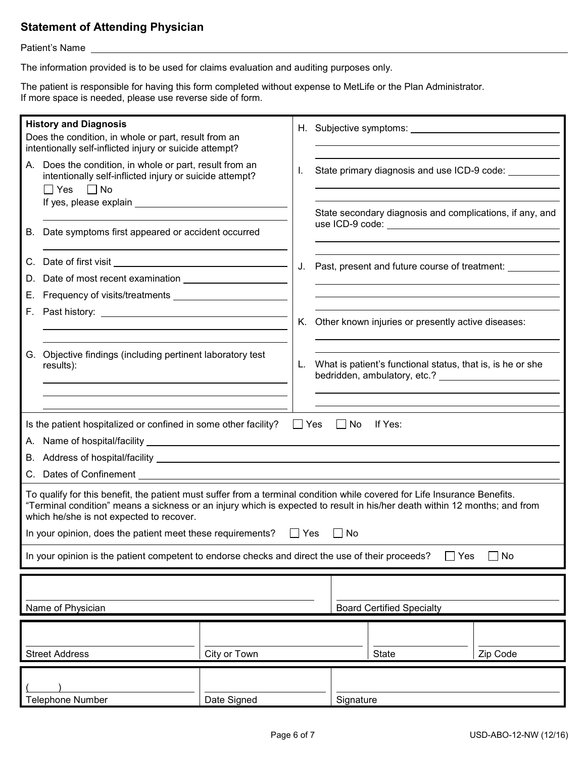# **Statement of Attending Physician**

Patient's Name

The information provided is to be used for claims evaluation and auditing purposes only.

The patient is responsible for having this form completed without expense to MetLife or the Plan Administrator. If more space is needed, please use reverse side of form.

| <b>History and Diagnosis</b><br>Does the condition, in whole or part, result from an<br>intentionally self-inflicted injury or suicide attempt?                                                                                                                                                     |                                                                                                                                            | H. Subjective symptoms: North Management Control of the Subjective symptoms: |       |           |                                                            |          |  |
|-----------------------------------------------------------------------------------------------------------------------------------------------------------------------------------------------------------------------------------------------------------------------------------------------------|--------------------------------------------------------------------------------------------------------------------------------------------|------------------------------------------------------------------------------|-------|-----------|------------------------------------------------------------|----------|--|
|                                                                                                                                                                                                                                                                                                     | A. Does the condition, in whole or part, result from an<br>intentionally self-inflicted injury or suicide attempt?<br>$\Box$ Yes $\Box$ No |                                                                              | I.    |           | State primary diagnosis and use ICD-9 code: ________       |          |  |
|                                                                                                                                                                                                                                                                                                     |                                                                                                                                            |                                                                              |       |           | State secondary diagnosis and complications, if any, and   |          |  |
|                                                                                                                                                                                                                                                                                                     | B. Date symptoms first appeared or accident occurred                                                                                       |                                                                              |       |           |                                                            |          |  |
|                                                                                                                                                                                                                                                                                                     |                                                                                                                                            |                                                                              | J.    |           | Past, present and future course of treatment:              |          |  |
| D.<br>E.,                                                                                                                                                                                                                                                                                           |                                                                                                                                            |                                                                              |       |           |                                                            |          |  |
|                                                                                                                                                                                                                                                                                                     |                                                                                                                                            |                                                                              |       |           |                                                            |          |  |
|                                                                                                                                                                                                                                                                                                     |                                                                                                                                            |                                                                              |       |           | K. Other known injuries or presently active diseases:      |          |  |
|                                                                                                                                                                                                                                                                                                     | G. Objective findings (including pertinent laboratory test<br>results):                                                                    |                                                                              | L.    |           | What is patient's functional status, that is, is he or she |          |  |
|                                                                                                                                                                                                                                                                                                     |                                                                                                                                            |                                                                              |       |           |                                                            |          |  |
|                                                                                                                                                                                                                                                                                                     |                                                                                                                                            |                                                                              |       |           |                                                            |          |  |
|                                                                                                                                                                                                                                                                                                     | Is the patient hospitalized or confined in some other facility? $\Box$ Yes $\Box$ No                                                       |                                                                              |       |           | lf Yes:                                                    |          |  |
|                                                                                                                                                                                                                                                                                                     |                                                                                                                                            |                                                                              |       |           |                                                            |          |  |
|                                                                                                                                                                                                                                                                                                     |                                                                                                                                            |                                                                              |       |           |                                                            |          |  |
|                                                                                                                                                                                                                                                                                                     |                                                                                                                                            |                                                                              |       |           |                                                            |          |  |
| To qualify for this benefit, the patient must suffer from a terminal condition while covered for Life Insurance Benefits.<br>"Terminal condition" means a sickness or an injury which is expected to result in his/her death within 12 months; and from<br>which he/she is not expected to recover. |                                                                                                                                            |                                                                              |       |           |                                                            |          |  |
|                                                                                                                                                                                                                                                                                                     | In your opinion, does the patient meet these requirements?                                                                                 |                                                                              | ∐ Yes | $\Box$ No |                                                            |          |  |
| In your opinion is the patient competent to endorse checks and direct the use of their proceeds?<br>$\exists$ No<br>$\Box$ Yes                                                                                                                                                                      |                                                                                                                                            |                                                                              |       |           |                                                            |          |  |
|                                                                                                                                                                                                                                                                                                     |                                                                                                                                            |                                                                              |       |           |                                                            |          |  |
| <b>Board Certified Specialty</b><br>Name of Physician                                                                                                                                                                                                                                               |                                                                                                                                            |                                                                              |       |           |                                                            |          |  |
|                                                                                                                                                                                                                                                                                                     |                                                                                                                                            |                                                                              |       |           |                                                            |          |  |
|                                                                                                                                                                                                                                                                                                     | <b>Street Address</b>                                                                                                                      | City or Town                                                                 |       |           | <b>State</b>                                               | Zip Code |  |
|                                                                                                                                                                                                                                                                                                     |                                                                                                                                            |                                                                              |       |           |                                                            |          |  |
|                                                                                                                                                                                                                                                                                                     | <b>Telephone Number</b>                                                                                                                    | Date Signed                                                                  |       | Signature |                                                            |          |  |